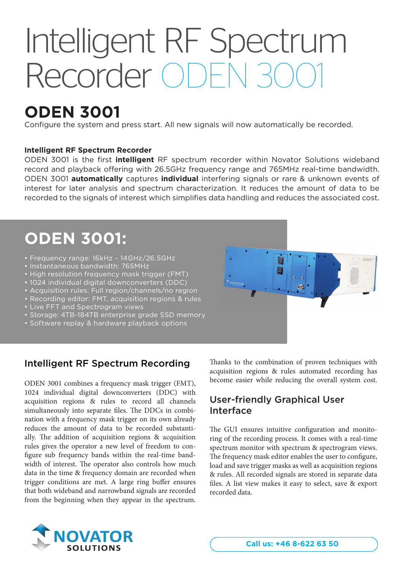## Intelligent RF Spectrum Recorder ODE

## **ODEN 3001**

Configure the system and press start. All new signals will now automatically be recorded.

#### **Intelligent RF Spectrum Recorder**

ODEN 3001 is the first *intelligent* RF spectrum recorder within Novator Solutions wideband record and playback offering with 26.5GHz frequency range and 765MHz real-time bandwidth. ODEN 3001 **automatically** captures **individual** interfering signals or rare & unknown events of interest for later analysis and spectrum characterization. It reduces the amount of data to be recorded to the signals of interest which simplifies data handling and reduces the associated cost.

## **ODEN 3001:**

- Frequency range: 16kHz 14GHz/26.5GHz
- Instantaneous bandwidth: 765MHz
- High resolution frequency mask trigger (FMT)
- 1024 individual digital downconverters (DDC)
- Acquisition rules: Full region/channels/no region
- Recording editor: FMT, acquisition regions & rules
- Live FFT and Spectrogram views
- Storage: 4TB-184TB enterprise grade SSD memory
- Software replay & hardware playback options

### Intelligent RF Spectrum Recording

ODEN 3001 combines a frequency mask trigger (FMT), 1024 individual digital downconverters (DDC) with acquisition regions & rules to record all channels simultaneously into separate files. The DDCs in combination with a frequency mask trigger on its own already reduces the amount of data to be recorded substantially. The addition of acquisition regions  $\&$  acquisition rules gives the operator a new level of freedom to con figure sub frequency bands within the real-time bandwidth of interest. The operator also controls how much data in the time & frequency domain are recorded when trigger conditions are met. A large ring buffer ensures that both wideband and narrowband signals are recorded from the beginning when they appear in the spectrum.

Thanks to the combination of proven techniques with acquisition regions & rules automated recording has become easier while reducing the overall system cost.

## User-friendly Graphical User Interface

D

The GUI ensures intuitive configuration and monitoring of the recording process. It comes with a real-time spectrum monitor with spectrum & spectrogram views. The frequency mask editor enables the user to configure, load and save trigger masks as well as acquisition regions & rules. All recorded signals are stored in separate data files. A list view makes it easy to select, save & export recorded data.